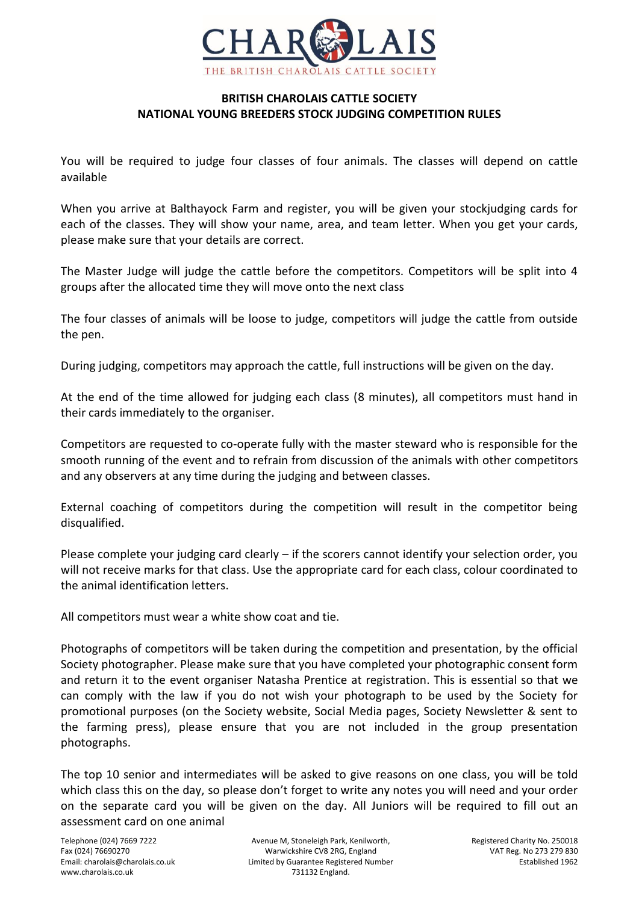

## **BRITISH CHAROLAIS CATTLE SOCIETY NATIONAL YOUNG BREEDERS STOCK JUDGING COMPETITION RULES**

You will be required to judge four classes of four animals. The classes will depend on cattle available

When you arrive at Balthayock Farm and register, you will be given your stockjudging cards for each of the classes. They will show your name, area, and team letter. When you get your cards, please make sure that your details are correct.

The Master Judge will judge the cattle before the competitors. Competitors will be split into 4 groups after the allocated time they will move onto the next class

The four classes of animals will be loose to judge, competitors will judge the cattle from outside the pen.

During judging, competitors may approach the cattle, full instructions will be given on the day.

At the end of the time allowed for judging each class (8 minutes), all competitors must hand in their cards immediately to the organiser.

Competitors are requested to co-operate fully with the master steward who is responsible for the smooth running of the event and to refrain from discussion of the animals with other competitors and any observers at any time during the judging and between classes.

External coaching of competitors during the competition will result in the competitor being disqualified.

Please complete your judging card clearly – if the scorers cannot identify your selection order, you will not receive marks for that class. Use the appropriate card for each class, colour coordinated to the animal identification letters.

All competitors must wear a white show coat and tie.

Photographs of competitors will be taken during the competition and presentation, by the official Society photographer. Please make sure that you have completed your photographic consent form and return it to the event organiser Natasha Prentice at registration. This is essential so that we can comply with the law if you do not wish your photograph to be used by the Society for promotional purposes (on the Society website, Social Media pages, Society Newsletter & sent to the farming press), please ensure that you are not included in the group presentation photographs.

The top 10 senior and intermediates will be asked to give reasons on one class, you will be told which class this on the day, so please don't forget to write any notes you will need and your order on the separate card you will be given on the day. All Juniors will be required to fill out an assessment card on one animal